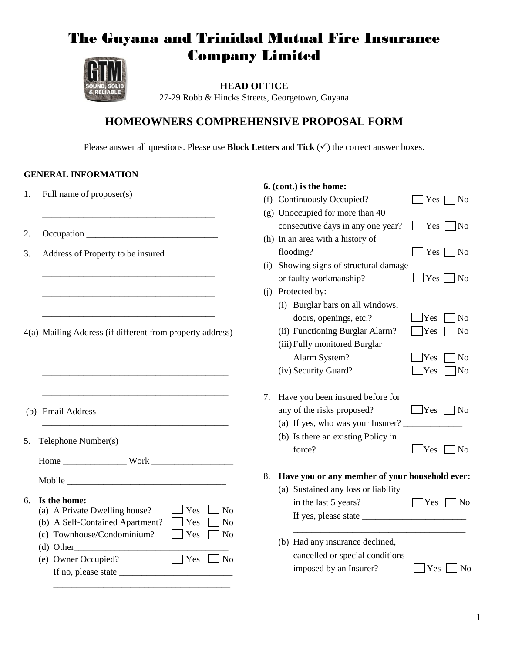# The Guyana and Trinidad Mutual Fire Insurance Company Limited



**HEAD OFFICE** 27-29 Robb & Hincks Streets, Georgetown, Guyana

# **HOMEOWNERS COMPREHENSIVE PROPOSAL FORM**

Please answer all questions. Please use **Block Letters** and **Tick**  $(\checkmark)$  the correct answer boxes.

**6. (cont.) is the home:**

### **GENERAL INFORMATION**

- 1. Full name of proposer(s)
- 2. Occupation \_\_\_\_\_\_\_\_\_\_\_\_\_\_\_\_\_\_\_\_\_\_\_\_\_\_\_\_\_
- 3. Address of Property to be insured

4(a) Mailing Address (if different from property address)

\_\_\_\_\_\_\_\_\_\_\_\_\_\_\_\_\_\_\_\_\_\_\_\_\_\_\_\_\_\_\_\_\_\_\_\_\_\_\_\_\_

\_\_\_\_\_\_\_\_\_\_\_\_\_\_\_\_\_\_\_\_\_\_\_\_\_\_\_\_\_\_\_\_\_\_\_\_\_\_\_\_\_

\_\_\_\_\_\_\_\_\_\_\_\_\_\_\_\_\_\_\_\_\_\_\_\_\_\_\_\_\_\_\_\_\_\_\_\_\_\_\_\_\_

\_\_\_\_\_\_\_\_\_\_\_\_\_\_\_\_\_\_\_\_\_\_\_\_\_\_\_\_\_\_\_\_\_\_\_\_\_\_\_\_\_

\_\_\_\_\_\_\_\_\_\_\_\_\_\_\_\_\_\_\_\_\_\_\_\_\_\_\_\_\_\_\_\_\_\_\_\_\_\_

\_\_\_\_\_\_\_\_\_\_\_\_\_\_\_\_\_\_\_\_\_\_\_\_\_\_\_\_\_\_\_\_\_\_\_\_\_\_

\_\_\_\_\_\_\_\_\_\_\_\_\_\_\_\_\_\_\_\_\_\_\_\_\_\_\_\_\_\_\_\_\_\_\_\_\_\_

\_\_\_\_\_\_\_\_\_\_\_\_\_\_\_\_\_\_\_\_\_\_\_\_\_\_\_\_\_\_\_\_\_\_\_\_\_\_

- (b) Email Address
- 5. Telephone Number(s)

Home \_\_\_\_\_\_\_\_\_\_\_\_\_\_ Work \_\_\_\_\_\_\_\_\_\_\_\_\_\_\_\_\_\_

#### 6. **Is the home:**

| тя чие попис.                   |                      |  |
|---------------------------------|----------------------|--|
| (a) A Private Dwelling house?   | $\Box$ Yes $\Box$ No |  |
| (b) A Self-Contained Apartment? | $\Box$ Yes $\Box$ No |  |
| (c) Townhouse/Condominium?      | $Yes \cap No$        |  |
| (d) Other                       |                      |  |

| .                   |                      |  |
|---------------------|----------------------|--|
| (e) Owner Occupied? | $\Box$ Yes $\Box$ No |  |
| If no, please state |                      |  |

\_\_\_\_\_\_\_\_\_\_\_\_\_\_\_\_\_\_\_\_\_\_\_\_\_\_\_\_\_\_\_\_\_\_\_\_\_\_\_

|     | (f) Continuously Occupied?                     | $Yes \lceil$<br>N <sub>o</sub> |
|-----|------------------------------------------------|--------------------------------|
|     | (g) Unoccupied for more than 40                |                                |
|     | consecutive days in any one year?              | Yes <br><b>No</b>              |
|     | (h) In an area with a history of               |                                |
|     | flooding?                                      | $Yes \square$<br>No            |
| (i) | Showing signs of structural damage             |                                |
|     | or faulty workmanship?                         | Yes<br>No                      |
| (i) | Protected by:                                  |                                |
|     | Burglar bars on all windows,<br>(i)            |                                |
|     | doors, openings, etc.?                         | Yes<br>N <sub>o</sub>          |
|     | (ii) Functioning Burglar Alarm?                | Yes<br>No                      |
|     | (iii) Fully monitored Burglar                  |                                |
|     | Alarm System?                                  | Yes<br>No                      |
|     | (iv) Security Guard?                           | Yes<br>No                      |
|     |                                                |                                |
|     |                                                |                                |
| 7.  | Have you been insured before for               |                                |
|     | any of the risks proposed?                     | Yes<br>N <sub>0</sub>          |
|     | (a) If yes, who was your Insurer?              |                                |
|     | (b) Is there an existing Policy in             |                                |
|     | force?                                         | Yes<br>N <sub>0</sub>          |
|     |                                                |                                |
| 8.  | Have you or any member of your household ever: |                                |
|     | (a) Sustained any loss or liability            |                                |
|     | in the last 5 years?                           | Yes<br>No                      |
|     | If yes, please state __                        |                                |
|     | (b) Had any insurance declined,                |                                |
|     | cancelled or special conditions                |                                |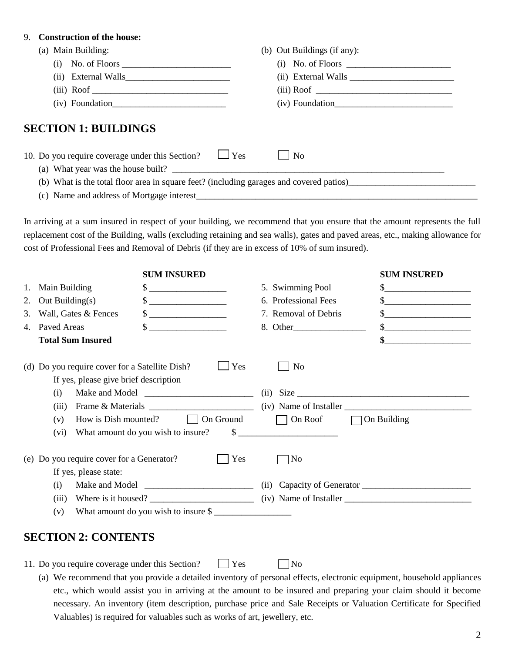#### 9. **Construction of the house:**

| (a) Main Building:                                                                        | (b) Out Buildings (if any): |
|-------------------------------------------------------------------------------------------|-----------------------------|
|                                                                                           |                             |
|                                                                                           |                             |
|                                                                                           |                             |
| $(iv)$ Foundation                                                                         | $(iv)$ Foundation           |
| <b>SECTION 1: BUILDINGS</b><br>10. Do you require coverage under this Section? $\Box$ Yes | $\overline{N}$              |
| (a) What year was the house built?                                                        |                             |
|                                                                                           |                             |
| (c) Name and address of Mortgage interest                                                 |                             |

In arriving at a sum insured in respect of your building, we recommend that you ensure that the amount represents the full replacement cost of the Building, walls (excluding retaining and sea walls), gates and paved areas, etc., making allowance for cost of Professional Fees and Removal of Debris (if they are in excess of 10% of sum insured).

|    |                                                | <b>SUM INSURED</b>                                                                                                                                                                                                                                                                                                                                                                                                                                                                                                    |                                   | <b>SUM INSURED</b>                                                                                                                                                                                                                                                                                                                                                  |
|----|------------------------------------------------|-----------------------------------------------------------------------------------------------------------------------------------------------------------------------------------------------------------------------------------------------------------------------------------------------------------------------------------------------------------------------------------------------------------------------------------------------------------------------------------------------------------------------|-----------------------------------|---------------------------------------------------------------------------------------------------------------------------------------------------------------------------------------------------------------------------------------------------------------------------------------------------------------------------------------------------------------------|
| 1. | Main Building                                  | \$                                                                                                                                                                                                                                                                                                                                                                                                                                                                                                                    | 5. Swimming Pool                  | <u> 1980 - Jan Barbara Barbara, maskin</u>                                                                                                                                                                                                                                                                                                                          |
| 2. | Out Building $(s)$                             |                                                                                                                                                                                                                                                                                                                                                                                                                                                                                                                       | 6. Professional Fees              | $\frac{\text{S}}{\text{S}}$                                                                                                                                                                                                                                                                                                                                         |
| 3. | Wall, Gates & Fences                           | $\begin{array}{c} \n \text{\bf $s$} \quad \text{\bf \textcolor{red}{\bf 1} } \quad \text{\bf \textcolor{red}{\bf 2} } \quad \text{\bf \textcolor{red}{\bf 3} } \quad \text{\bf \textcolor{red}{\bf 4} } \quad \text{\bf \textcolor{red}{\bf 5} } \quad \text{\bf \textcolor{red}{\bf 6} } \quad \text{\bf \textcolor{red}{\bf 6} } \quad \text{\bf \textcolor{red}{\bf 7} } \quad \text{\bf \textcolor{red}{\bf 7} } \quad \text{\bf \textcolor{red}{\bf 8} } \quad \text{\bf \textcolor{red}{\bf 9} } \quad \text{\$ | 7. Removal of Debris              | $\begin{picture}(20,10) \put(0,0){\vector(1,0){100}} \put(15,0){\vector(1,0){100}} \put(15,0){\vector(1,0){100}} \put(15,0){\vector(1,0){100}} \put(15,0){\vector(1,0){100}} \put(15,0){\vector(1,0){100}} \put(15,0){\vector(1,0){100}} \put(15,0){\vector(1,0){100}} \put(15,0){\vector(1,0){100}} \put(15,0){\vector(1,0){100}} \put(15,0){\vector(1,0){100}} \$ |
| 4. | Paved Areas                                    | $\frac{\text{S}}{\text{S}}$                                                                                                                                                                                                                                                                                                                                                                                                                                                                                           |                                   |                                                                                                                                                                                                                                                                                                                                                                     |
|    | <b>Total Sum Insured</b>                       |                                                                                                                                                                                                                                                                                                                                                                                                                                                                                                                       |                                   | \$                                                                                                                                                                                                                                                                                                                                                                  |
|    | (d) Do you require cover for a Satellite Dish? | Yes                                                                                                                                                                                                                                                                                                                                                                                                                                                                                                                   | N <sub>0</sub>                    |                                                                                                                                                                                                                                                                                                                                                                     |
|    | If yes, please give brief description          |                                                                                                                                                                                                                                                                                                                                                                                                                                                                                                                       |                                   |                                                                                                                                                                                                                                                                                                                                                                     |
|    | (i)                                            |                                                                                                                                                                                                                                                                                                                                                                                                                                                                                                                       | (ii)                              | Size                                                                                                                                                                                                                                                                                                                                                                |
|    | (iii)                                          |                                                                                                                                                                                                                                                                                                                                                                                                                                                                                                                       |                                   |                                                                                                                                                                                                                                                                                                                                                                     |
|    | How is Dish mounted?<br>(v)                    | On Ground                                                                                                                                                                                                                                                                                                                                                                                                                                                                                                             | $\Box$ On Roof $\Box$ On Building |                                                                                                                                                                                                                                                                                                                                                                     |
|    | (vi)                                           | What amount do you wish to insure?                                                                                                                                                                                                                                                                                                                                                                                                                                                                                    | $\frac{1}{2}$                     |                                                                                                                                                                                                                                                                                                                                                                     |
|    | (e) Do you require cover for a Generator?      | Yes                                                                                                                                                                                                                                                                                                                                                                                                                                                                                                                   | No                                |                                                                                                                                                                                                                                                                                                                                                                     |
|    | If yes, please state:                          |                                                                                                                                                                                                                                                                                                                                                                                                                                                                                                                       |                                   |                                                                                                                                                                                                                                                                                                                                                                     |
|    | (i)                                            |                                                                                                                                                                                                                                                                                                                                                                                                                                                                                                                       |                                   |                                                                                                                                                                                                                                                                                                                                                                     |
|    | (iii)                                          |                                                                                                                                                                                                                                                                                                                                                                                                                                                                                                                       |                                   |                                                                                                                                                                                                                                                                                                                                                                     |
|    | (v)                                            |                                                                                                                                                                                                                                                                                                                                                                                                                                                                                                                       |                                   |                                                                                                                                                                                                                                                                                                                                                                     |

### **SECTION 2: CONTENTS**

11. Do you require coverage under this Section?  $\Box$  Yes  $\Box$  No

(a) We recommend that you provide a detailed inventory of personal effects, electronic equipment, household appliances etc., which would assist you in arriving at the amount to be insured and preparing your claim should it become necessary. An inventory (item description, purchase price and Sale Receipts or Valuation Certificate for Specified Valuables) is required for valuables such as works of art, jewellery, etc.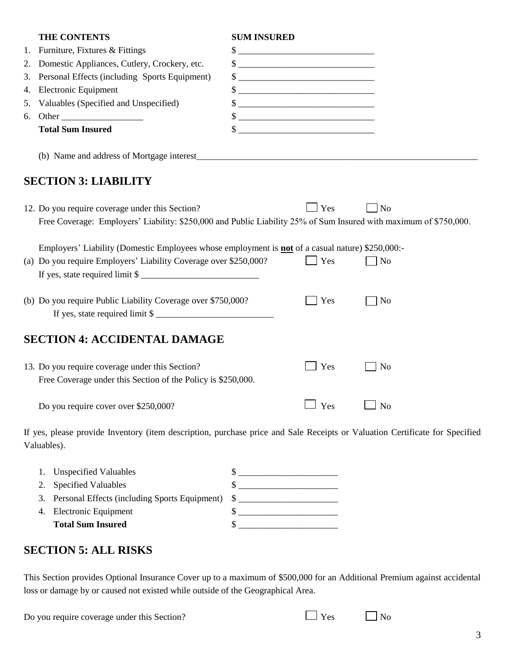|    | THE CONTENTS                                                                                                                                                         | <b>SUM INSURED</b>          |                    |                |
|----|----------------------------------------------------------------------------------------------------------------------------------------------------------------------|-----------------------------|--------------------|----------------|
| 1. | Furniture, Fixtures & Fittings                                                                                                                                       | \$                          |                    |                |
| 2. | Domestic Appliances, Cutlery, Crockery, etc.                                                                                                                         |                             |                    |                |
| 3. | Personal Effects (including Sports Equipment)                                                                                                                        |                             |                    |                |
| 4. | Electronic Equipment                                                                                                                                                 | $\frac{\text{S}}{\text{S}}$ |                    |                |
| 5. | Valuables (Specified and Unspecified)                                                                                                                                | \$                          |                    |                |
| 6. | Other                                                                                                                                                                |                             |                    |                |
|    | <b>Total Sum Insured</b>                                                                                                                                             | $\sim$                      |                    |                |
|    |                                                                                                                                                                      |                             |                    |                |
|    | <b>SECTION 3: LIABILITY</b>                                                                                                                                          |                             |                    |                |
|    | 12. Do you require coverage under this Section?<br>Free Coverage: Employers' Liability: \$250,000 and Public Liability 25% of Sum Insured with maximum of \$750,000. |                             | $\blacksquare$ Yes | N <sub>o</sub> |
|    | Employers' Liability (Domestic Employees whose employment is <b>not</b> of a casual nature) \$250,000:-                                                              |                             |                    |                |
|    | (a) Do you require Employers' Liability Coverage over \$250,000?<br>If yes, state required limit \$                                                                  |                             | Yes                | N <sub>o</sub> |
|    | (b) Do you require Public Liability Coverage over \$750,000?<br>If yes, state required limit \$                                                                      |                             | Yes                | N <sub>o</sub> |
|    | <b>SECTION 4: ACCIDENTAL DAMAGE</b>                                                                                                                                  |                             |                    |                |
|    | 13. Do you require coverage under this Section?                                                                                                                      |                             | Yes                | <b>No</b>      |
|    | Free Coverage under this Section of the Policy is \$250,000.                                                                                                         |                             |                    |                |
|    | Do you require cover over \$250,000?                                                                                                                                 |                             | Yes                | <b>No</b>      |

If yes, please provide Inventory (item description, purchase price and Sale Receipts or Valuation Certificate for Specified Valuables).

| <b>Total Sum Insured</b>                            |  |
|-----------------------------------------------------|--|
| 4. Electronic Equipment                             |  |
| 3. Personal Effects (including Sports Equipment) \$ |  |
| 2. Specified Valuables                              |  |
| 1. Unspecified Valuables                            |  |

## **SECTION 5: ALL RISKS**

This Section provides Optional Insurance Cover up to a maximum of \$500,000 for an Additional Premium against accidental loss or damage by or caused not existed while outside of the Geographical Area.

Do you require coverage under this Section?  $\Box$  Yes  $\Box$  No

| $\sim$<br>١<br>ı |
|------------------|
| ۰.<br>۰.         |